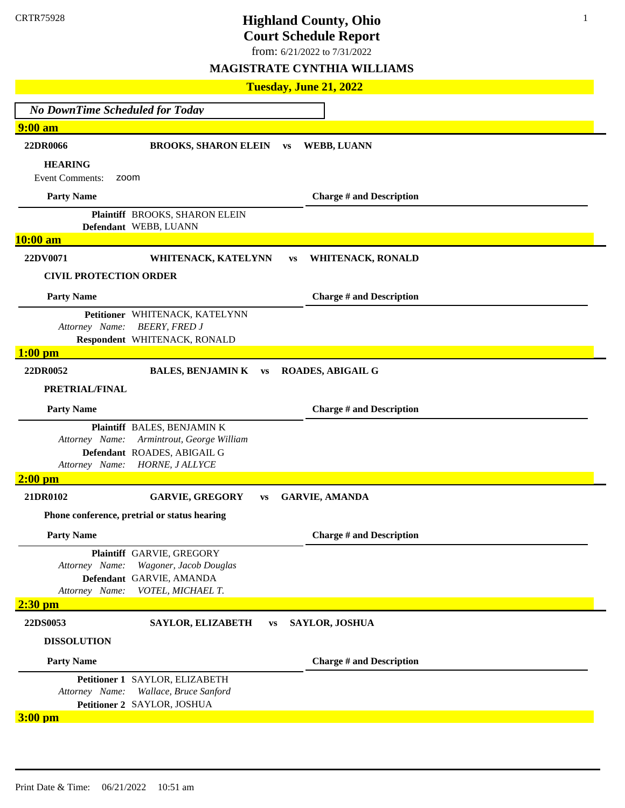# **Highland County, Ohio**

**Court Schedule Report**

1

from: 6/21/2022 to 7/31/2022

|                                        | Tuesday, June 21, 2022                                  |           |           |                                 |  |  |
|----------------------------------------|---------------------------------------------------------|-----------|-----------|---------------------------------|--|--|
| <b>No DownTime Scheduled for Today</b> |                                                         |           |           |                                 |  |  |
| <b>9:00 am</b>                         |                                                         |           |           |                                 |  |  |
| 22DR0066                               | <b>BROOKS, SHARON ELEIN</b>                             |           | <b>VS</b> | <b>WEBB, LUANN</b>              |  |  |
| <b>HEARING</b>                         |                                                         |           |           |                                 |  |  |
| <b>Event Comments:</b><br>zoom         |                                                         |           |           |                                 |  |  |
| <b>Party Name</b>                      |                                                         |           |           | <b>Charge # and Description</b> |  |  |
|                                        | Plaintiff BROOKS, SHARON ELEIN<br>Defendant WEBB, LUANN |           |           |                                 |  |  |
| 10:00 am                               |                                                         |           |           |                                 |  |  |
| 22DV0071                               | WHITENACK, KATELYNN                                     |           | <b>VS</b> | WHITENACK, RONALD               |  |  |
| <b>CIVIL PROTECTION ORDER</b>          |                                                         |           |           |                                 |  |  |
| <b>Party Name</b>                      |                                                         |           |           | <b>Charge # and Description</b> |  |  |
|                                        | Petitioner WHITENACK, KATELYNN                          |           |           |                                 |  |  |
| Attorney Name:                         | <b>BEERY, FRED J</b>                                    |           |           |                                 |  |  |
|                                        | Respondent WHITENACK, RONALD                            |           |           |                                 |  |  |
| $1:00$ pm                              |                                                         |           |           |                                 |  |  |
| 22DR0052                               | <b>BALES, BENJAMIN K vs</b>                             |           |           | <b>ROADES, ABIGAIL G</b>        |  |  |
| PRETRIAL/FINAL                         |                                                         |           |           |                                 |  |  |
| <b>Party Name</b>                      |                                                         |           |           | <b>Charge # and Description</b> |  |  |
|                                        | Plaintiff BALES, BENJAMIN K                             |           |           |                                 |  |  |
| Attorney Name:                         | Armintrout, George William                              |           |           |                                 |  |  |
| Attorney Name:                         | Defendant ROADES, ABIGAIL G<br><b>HORNE, JALLYCE</b>    |           |           |                                 |  |  |
| $2:00$ pm                              |                                                         |           |           |                                 |  |  |
| 21DR0102                               | <b>GARVIE, GREGORY</b><br><b>VS</b>                     |           |           | <b>GARVIE, AMANDA</b>           |  |  |
|                                        | Phone conference, pretrial or status hearing            |           |           |                                 |  |  |
| <b>Party Name</b>                      |                                                         |           |           | <b>Charge # and Description</b> |  |  |
|                                        | Plaintiff GARVIE, GREGORY                               |           |           |                                 |  |  |
| Attorney Name:                         | Wagoner, Jacob Douglas                                  |           |           |                                 |  |  |
|                                        | Defendant GARVIE, AMANDA                                |           |           |                                 |  |  |
| Attorney Name:                         | VOTEL, MICHAEL T.                                       |           |           |                                 |  |  |
| $2:30$ pm                              |                                                         |           |           |                                 |  |  |
| 22DS0053                               | SAYLOR, ELIZABETH                                       | <b>VS</b> |           | <b>SAYLOR, JOSHUA</b>           |  |  |
| <b>DISSOLUTION</b>                     |                                                         |           |           |                                 |  |  |
| <b>Party Name</b>                      |                                                         |           |           | <b>Charge # and Description</b> |  |  |
|                                        | Petitioner 1 SAYLOR, ELIZABETH                          |           |           |                                 |  |  |
| Attorney Name:                         | Wallace, Bruce Sanford                                  |           |           |                                 |  |  |
| $3:00$ pm                              | Petitioner 2 SAYLOR, JOSHUA                             |           |           |                                 |  |  |
|                                        |                                                         |           |           |                                 |  |  |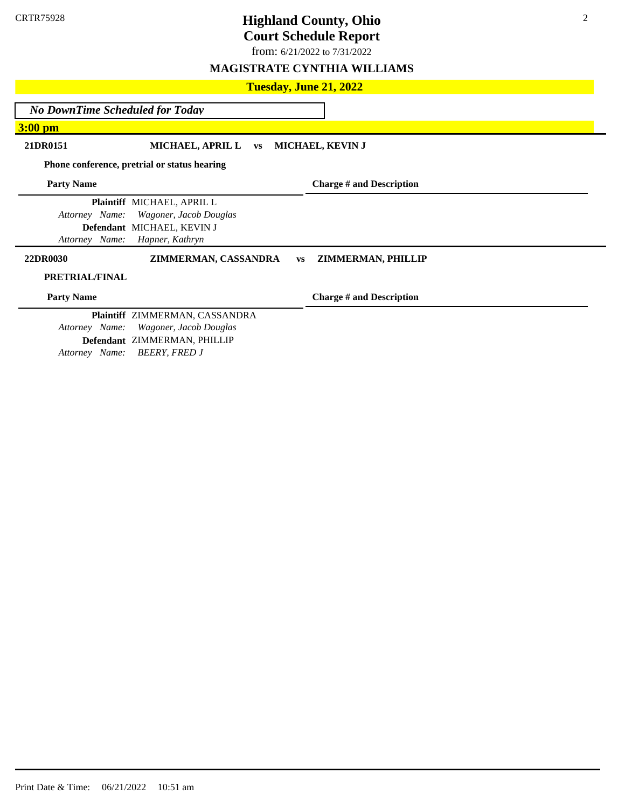from: 6/21/2022 to 7/31/2022

### **MAGISTRATE CYNTHIA WILLIAMS**

## **Tuesday, June 21, 2022** *No DownTime Scheduled for Today* **3:00 pm 21DR0151 MICHAEL, APRIL L vs MICHAEL, KEVIN J Phone conference, pretrial or status hearing Party Name Plaintiff** MICHAEL, APRIL L *Attorney Name: Wagoner, Jacob Douglas* **Defendant** MICHAEL, KEVIN J *Attorney Name: Hapner, Kathryn*  **Charge # and Description 22DR0030 ZIMMERMAN, CASSANDRA vs ZIMMERMAN, PHILLIP PRETRIAL/FINAL Party Name Plaintiff** ZIMMERMAN, CASSANDRA *Attorney Name: Wagoner, Jacob Douglas* **Defendant** ZIMMERMAN, PHILLIP *Attorney Name: BEERY, FRED J* **Charge # and Description**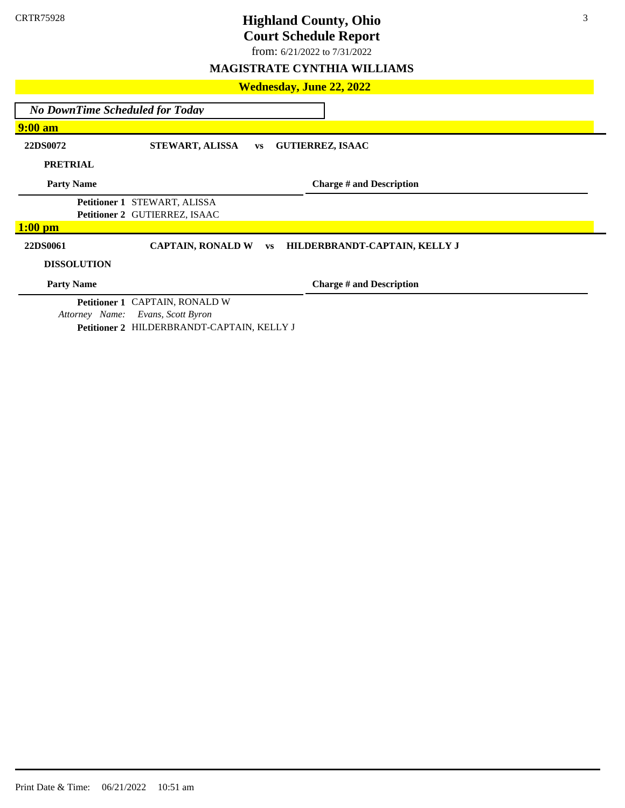from: 6/21/2022 to 7/31/2022

### **MAGISTRATE CYNTHIA WILLIAMS**

| <b>Wednesday, June 22, 2022</b> |  |  |  |  |  |  |
|---------------------------------|--|--|--|--|--|--|
|---------------------------------|--|--|--|--|--|--|

*No DownTime Scheduled for Today*

**9:00 am**

**22DS0072 STEWART, ALISSA vs GUTIERREZ, ISAAC** 

**PRETRIAL**

**Party Name**

**Charge # and Description**

**Petitioner 1** STEWART, ALISSA **Petitioner 2** GUTIERREZ, ISAAC

### **1:00 pm**

**22DS0061 CAPTAIN, RONALD W vs HILDERBRANDT-CAPTAIN, KELLY J**

### **DISSOLUTION**

**Party Name**

**Charge # and Description**

**Petitioner 1** CAPTAIN, RONALD W *Attorney Name: Evans, Scott Byron* **Petitioner 2** HILDERBRANDT-CAPTAIN, KELLY J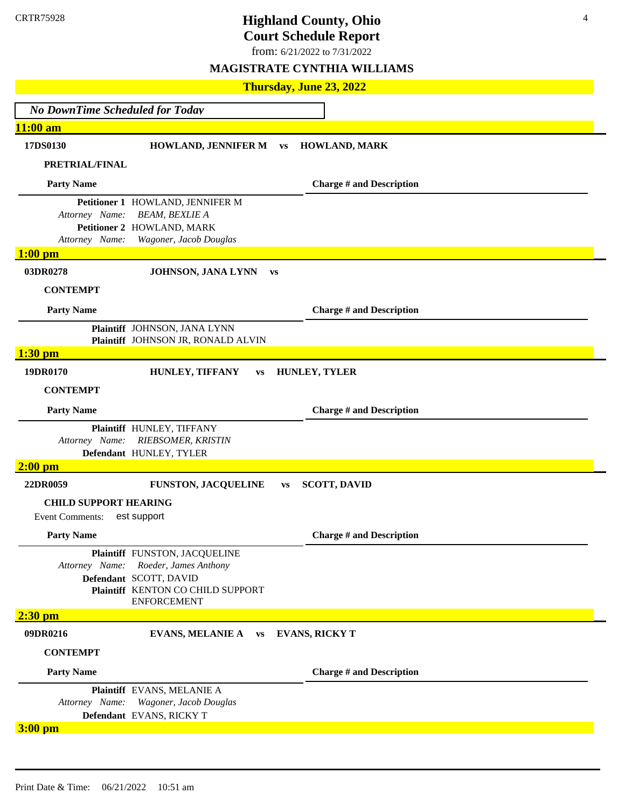4

from: 6/21/2022 to 7/31/2022

| Thursday, June 23, 2022                                |                                                                                                                                             |           |                                 |  |  |  |
|--------------------------------------------------------|---------------------------------------------------------------------------------------------------------------------------------------------|-----------|---------------------------------|--|--|--|
| <b>No DownTime Scheduled for Today</b>                 |                                                                                                                                             |           |                                 |  |  |  |
| 11:00 am                                               |                                                                                                                                             |           |                                 |  |  |  |
| 17DS0130                                               | <b>HOWLAND, JENNIFER M</b>                                                                                                                  | <b>VS</b> | HOWLAND, MARK                   |  |  |  |
| PRETRIAL/FINAL                                         |                                                                                                                                             |           |                                 |  |  |  |
| <b>Party Name</b>                                      |                                                                                                                                             |           | <b>Charge # and Description</b> |  |  |  |
| Attorney Name:<br>Attorney Name:                       | Petitioner 1 HOWLAND, JENNIFER M<br><b>BEAM, BEXLIE A</b><br>Petitioner 2 HOWLAND, MARK<br>Wagoner, Jacob Douglas                           |           |                                 |  |  |  |
| $1:00$ pm                                              |                                                                                                                                             |           |                                 |  |  |  |
| 03DR0278                                               | JOHNSON, JANA LYNN                                                                                                                          | <b>VS</b> |                                 |  |  |  |
| <b>CONTEMPT</b>                                        |                                                                                                                                             |           |                                 |  |  |  |
| <b>Party Name</b>                                      |                                                                                                                                             |           | <b>Charge # and Description</b> |  |  |  |
|                                                        | Plaintiff JOHNSON, JANA LYNN<br>Plaintiff JOHNSON JR, RONALD ALVIN                                                                          |           |                                 |  |  |  |
| $1:30$ pm                                              |                                                                                                                                             |           |                                 |  |  |  |
| 19DR0170                                               | HUNLEY, TIFFANY<br><b>VS</b>                                                                                                                |           | <b>HUNLEY, TYLER</b>            |  |  |  |
| <b>CONTEMPT</b>                                        |                                                                                                                                             |           |                                 |  |  |  |
| <b>Party Name</b>                                      |                                                                                                                                             |           | <b>Charge # and Description</b> |  |  |  |
| Attorney Name:                                         | Plaintiff HUNLEY, TIFFANY<br>RIEBSOMER, KRISTIN<br>Defendant HUNLEY, TYLER                                                                  |           |                                 |  |  |  |
| $2:00$ pm                                              |                                                                                                                                             |           |                                 |  |  |  |
| 22DR0059                                               | <b>FUNSTON, JACQUELINE</b>                                                                                                                  | VS        | <b>SCOTT, DAVID</b>             |  |  |  |
| <b>CHILD SUPPORT HEARING</b><br><b>Event Comments:</b> | est support                                                                                                                                 |           |                                 |  |  |  |
| <b>Party Name</b>                                      |                                                                                                                                             |           | <b>Charge # and Description</b> |  |  |  |
| Attorney Name:                                         | Plaintiff FUNSTON, JACQUELINE<br>Roeder, James Anthony<br>Defendant SCOTT, DAVID<br>Plaintiff KENTON CO CHILD SUPPORT<br><b>ENFORCEMENT</b> |           |                                 |  |  |  |
| $2:30$ pm                                              |                                                                                                                                             |           |                                 |  |  |  |
| 09DR0216                                               | EVANS, MELANIE A vs                                                                                                                         |           | <b>EVANS, RICKY T</b>           |  |  |  |
| <b>CONTEMPT</b>                                        |                                                                                                                                             |           |                                 |  |  |  |
| <b>Party Name</b>                                      |                                                                                                                                             |           | <b>Charge # and Description</b> |  |  |  |
| Attorney Name:                                         | Plaintiff EVANS, MELANIE A<br>Wagoner, Jacob Douglas<br>Defendant EVANS, RICKY T                                                            |           |                                 |  |  |  |
| $3:00$ pm                                              |                                                                                                                                             |           |                                 |  |  |  |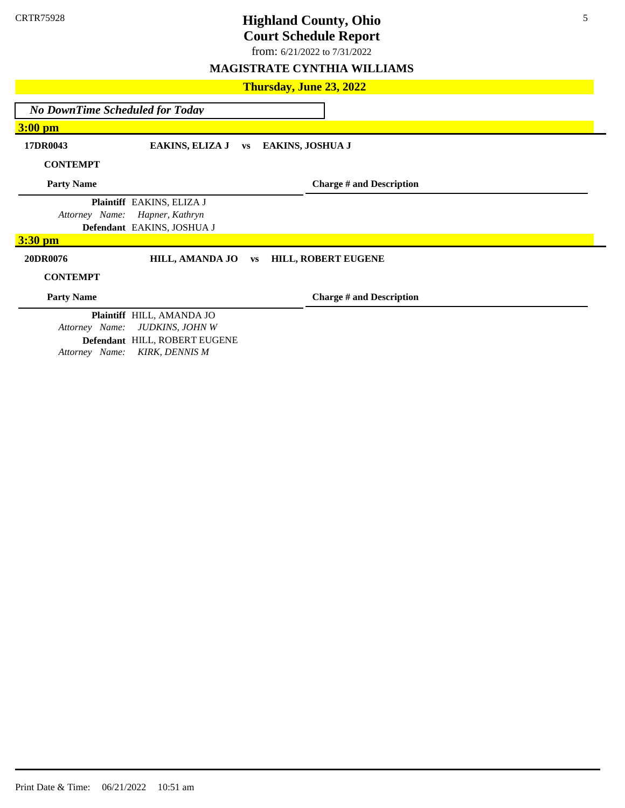from: 6/21/2022 to 7/31/2022

### **MAGISTRATE CYNTHIA WILLIAMS**

### **Thursday, June 23, 2022**

*No DownTime Scheduled for Today*

**3:00 pm**

**17DR0043 EAKINS, ELIZA J vs EAKINS, JOSHUA J**

**CONTEMPT**

**Party Name**

**Charge # and Description**

**Plaintiff** EAKINS, ELIZA J *Attorney Name: Hapner, Kathryn*  **Defendant** EAKINS, JOSHUA J

### **3:30 pm**

### **20DR0076 HILL, AMANDA JO vs HILL, ROBERT EUGENE**

### **CONTEMPT**

**Party Name**

**Charge # and Description**

**Plaintiff** HILL, AMANDA JO *Attorney Name: JUDKINS, JOHN W* **Defendant** HILL, ROBERT EUGENE *Attorney Name: KIRK, DENNIS M*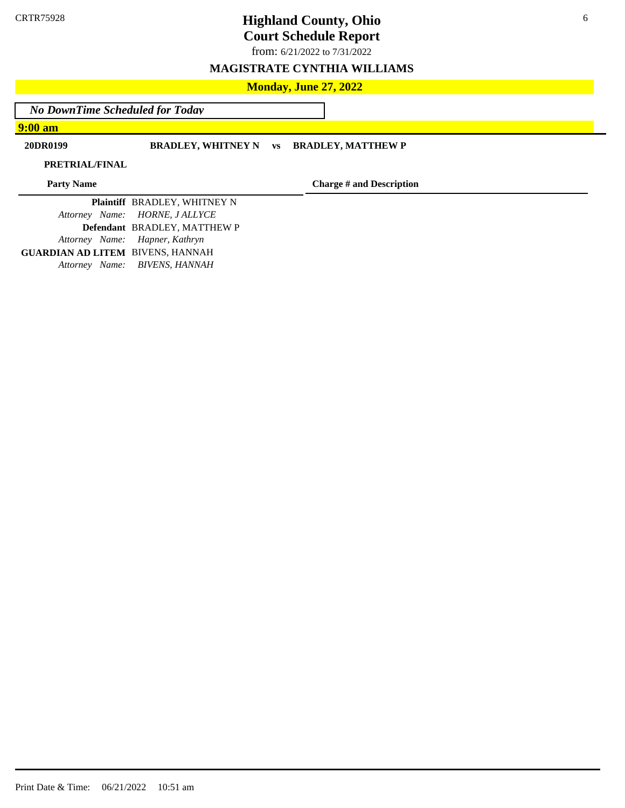from: 6/21/2022 to 7/31/2022

### **MAGISTRATE CYNTHIA WILLIAMS**

### **Monday, June 27, 2022**

*No DownTime Scheduled for Today*

**9:00 am**

**20DR0199 BRADLEY, WHITNEY N vs BRADLEY, MATTHEW P**

**PRETRIAL/FINAL**

**Party Name**

**Charge # and Description**

**Plaintiff** BRADLEY, WHITNEY N *Attorney Name: HORNE, J ALLYCE*  **Defendant** BRADLEY, MATTHEW P *Attorney Name: Hapner, Kathryn*  **GUARDIAN AD LITEM** BIVENS, HANNAH *Attorney Name: BIVENS, HANNAH*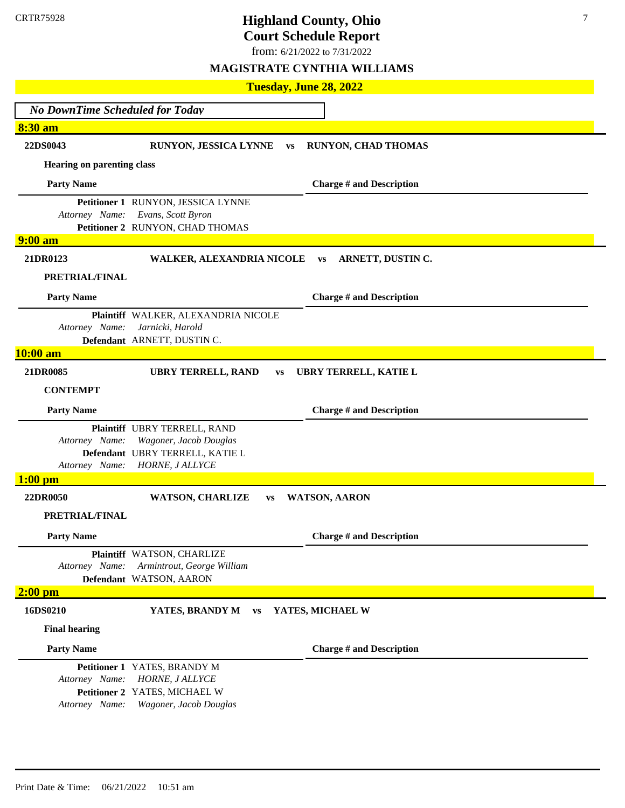# **Highland County, Ohio**

**Court Schedule Report**

from: 6/21/2022 to 7/31/2022

|                                               | Tuesday, June 28, 2022                                                                                       |                                 |
|-----------------------------------------------|--------------------------------------------------------------------------------------------------------------|---------------------------------|
| <b>No DownTime Scheduled for Today</b>        |                                                                                                              |                                 |
| 8:30 am                                       |                                                                                                              |                                 |
| 22DS0043                                      | RUNYON, JESSICA LYNNE<br><b>VS</b>                                                                           | <b>RUNYON, CHAD THOMAS</b>      |
| <b>Hearing on parenting class</b>             |                                                                                                              |                                 |
| <b>Party Name</b>                             |                                                                                                              | <b>Charge # and Description</b> |
| Attorney Name:                                | Petitioner 1 RUNYON, JESSICA LYNNE<br>Evans, Scott Byron<br>Petitioner 2 RUNYON, CHAD THOMAS                 |                                 |
| <b>9:00 am</b>                                |                                                                                                              |                                 |
| 21DR0123                                      | WALKER, ALEXANDRIA NICOLE                                                                                    | ARNETT, DUSTIN C.<br><b>VS</b>  |
| PRETRIAL/FINAL                                |                                                                                                              |                                 |
| <b>Party Name</b>                             |                                                                                                              | <b>Charge # and Description</b> |
| Attorney Name:                                | Plaintiff WALKER, ALEXANDRIA NICOLE<br>Jarnicki, Harold<br>Defendant ARNETT, DUSTIN C.                       |                                 |
| 10:00 am                                      |                                                                                                              |                                 |
| 21DR0085                                      | <b>UBRY TERRELL, RAND</b><br><b>VS</b>                                                                       | UBRY TERRELL, KATIE L           |
| <b>CONTEMPT</b>                               |                                                                                                              |                                 |
| <b>Party Name</b>                             |                                                                                                              | <b>Charge # and Description</b> |
| Attorney Name:<br>Attorney Name:<br>$1:00$ pm | Plaintiff UBRY TERRELL, RAND<br>Wagoner, Jacob Douglas<br>Defendant UBRY TERRELL, KATIE L<br>HORNE, J ALLYCE |                                 |
| 22DR0050                                      | <b>WATSON, CHARLIZE</b><br><b>VS</b>                                                                         | <b>WATSON, AARON</b>            |
| PRETRIAL/FINAL                                |                                                                                                              |                                 |
| <b>Party Name</b>                             |                                                                                                              | <b>Charge # and Description</b> |
| Attorney Name:                                | Plaintiff WATSON, CHARLIZE<br>Armintrout, George William<br>Defendant WATSON, AARON                          |                                 |
| $2:00$ pm                                     |                                                                                                              |                                 |
| 16DS0210                                      | YATES, BRANDY M<br><b>VS</b>                                                                                 | YATES, MICHAEL W                |
| <b>Final hearing</b>                          |                                                                                                              |                                 |
| <b>Party Name</b>                             |                                                                                                              | <b>Charge # and Description</b> |
| Attorney Name:<br>Attorney Name:              | Petitioner 1 YATES, BRANDY M<br>HORNE, J ALLYCE<br>Petitioner 2 YATES, MICHAEL W<br>Wagoner, Jacob Douglas   |                                 |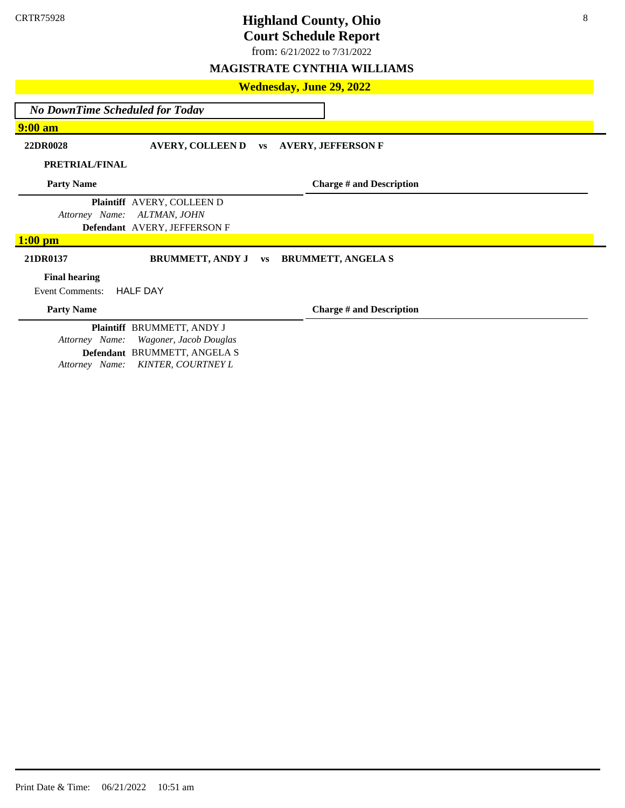from: 6/21/2022 to 7/31/2022

### **MAGISTRATE CYNTHIA WILLIAMS**

**Wednesday, June 29, 2022**

*No DownTime Scheduled for Today*

### **9:00 am**

**22DR0028 AVERY, COLLEEN D vs AVERY, JEFFERSON F**

**PRETRIAL/FINAL**

**Party Name**

**Charge # and Description**

**Plaintiff** AVERY, COLLEEN D *Attorney Name: ALTMAN, JOHN*  **Defendant** AVERY, JEFFERSON F

### **1:00 pm**

### **21DR0137 BRUMMETT, ANDY J vs BRUMMETT, ANGELA S**

### **Final hearing**

Event Comments: HALF DAY

**Party Name**

**Charge # and Description**

**Plaintiff** BRUMMETT, ANDY J *Attorney Name: Wagoner, Jacob Douglas* **Defendant** BRUMMETT, ANGELA S *Attorney Name: KINTER, COURTNEY L*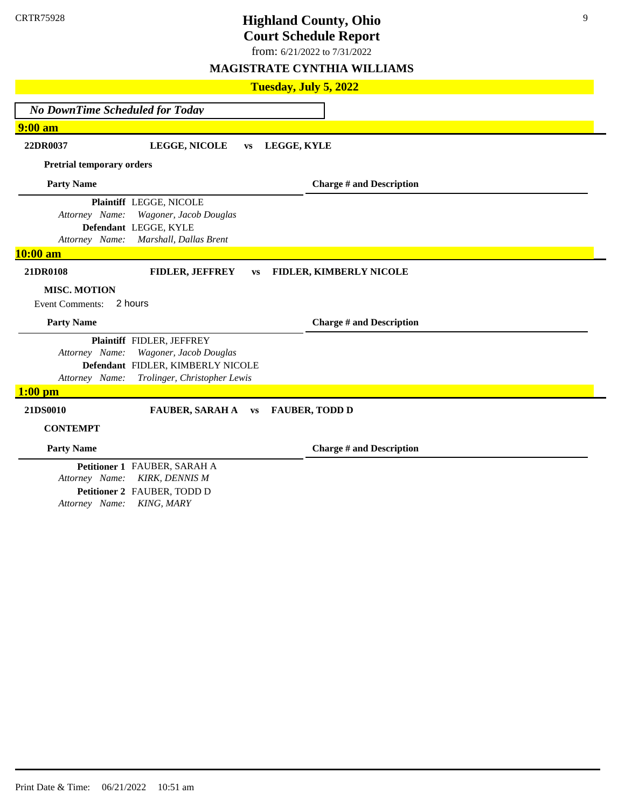from: 6/21/2022 to 7/31/2022

### **MAGISTRATE CYNTHIA WILLIAMS**

| Tuesday, July 5, 2022                                                                                                                                        |                                 |
|--------------------------------------------------------------------------------------------------------------------------------------------------------------|---------------------------------|
| <b>No DownTime Scheduled for Today</b>                                                                                                                       |                                 |
| $9:00$ am                                                                                                                                                    |                                 |
| 22DR0037<br>LEGGE, NICOLE<br>LEGGE, KYLE<br><b>VS</b>                                                                                                        |                                 |
| <b>Pretrial temporary orders</b>                                                                                                                             |                                 |
| <b>Party Name</b>                                                                                                                                            | <b>Charge # and Description</b> |
| Plaintiff LEGGE, NICOLE<br>Attorney Name:<br>Wagoner, Jacob Douglas<br>Defendant LEGGE, KYLE<br>Attorney Name:<br>Marshall, Dallas Brent<br>10:00 am         |                                 |
| 21DR0108<br><b>FIDLER, JEFFREY</b><br><b>VS</b>                                                                                                              | FIDLER, KIMBERLY NICOLE         |
| <b>MISC. MOTION</b><br><b>Event Comments:</b><br>2 hours                                                                                                     |                                 |
| <b>Party Name</b>                                                                                                                                            | <b>Charge # and Description</b> |
| Plaintiff FIDLER, JEFFREY<br>Attorney Name:<br>Wagoner, Jacob Douglas<br>Defendant FIDLER, KIMBERLY NICOLE<br>Attorney Name:<br>Trolinger, Christopher Lewis |                                 |
| $1:00$ pm<br>21DS0010<br><b>FAUBER, SARAH A</b><br><b>FAUBER, TODD D</b>                                                                                     |                                 |
| <b>VS</b><br><b>CONTEMPT</b>                                                                                                                                 |                                 |
| <b>Party Name</b>                                                                                                                                            | <b>Charge # and Description</b> |
| Petitioner 1 FAUBER, SARAH A<br>Attorney Name:<br><b>KIRK, DENNIS M</b><br>Petitioner 2 FAUBER, TODD D                                                       |                                 |

*Attorney Name: KING, MARY*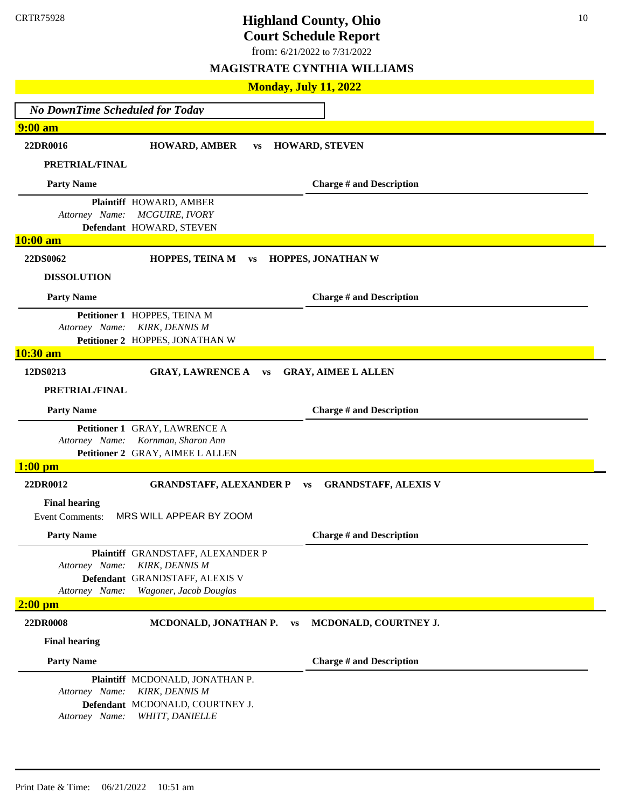from: 6/21/2022 to 7/31/2022

|                                                | <b>Monday, July 11, 2022</b>                                                                                    |                                 |
|------------------------------------------------|-----------------------------------------------------------------------------------------------------------------|---------------------------------|
| <b>No DownTime Scheduled for Today</b>         |                                                                                                                 |                                 |
| 9:00 am                                        |                                                                                                                 |                                 |
| 22DR0016                                       | <b>HOWARD, AMBER</b><br><b>VS</b>                                                                               | <b>HOWARD, STEVEN</b>           |
| PRETRIAL/FINAL                                 |                                                                                                                 |                                 |
| <b>Party Name</b>                              |                                                                                                                 | <b>Charge # and Description</b> |
| Attorney Name:<br>10:00 am                     | Plaintiff HOWARD, AMBER<br>MCGUIRE, IVORY<br>Defendant HOWARD, STEVEN                                           |                                 |
|                                                |                                                                                                                 |                                 |
| 22DS0062                                       | <b>HOPPES, TEINA M</b><br><b>VS</b>                                                                             | HOPPES, JONATHAN W              |
| <b>DISSOLUTION</b>                             |                                                                                                                 |                                 |
| <b>Party Name</b>                              |                                                                                                                 | <b>Charge # and Description</b> |
| Attorney Name:                                 | Petitioner 1 HOPPES, TEINA M<br><b>KIRK, DENNIS M</b><br>Petitioner 2 HOPPES, JONATHAN W                        |                                 |
| 10:30 am                                       |                                                                                                                 |                                 |
| 12DS0213                                       | <b>GRAY, LAWRENCE A</b><br>VS                                                                                   | <b>GRAY, AIMEE L ALLEN</b>      |
| PRETRIAL/FINAL                                 |                                                                                                                 |                                 |
| <b>Party Name</b>                              |                                                                                                                 | <b>Charge # and Description</b> |
| Attorney Name:                                 | Petitioner 1 GRAY, LAWRENCE A<br>Kornman, Sharon Ann<br>Petitioner 2 GRAY, AIMEE L ALLEN                        |                                 |
| $1:00$ pm                                      |                                                                                                                 |                                 |
| 22DR0012                                       | <b>GRANDSTAFF, ALEXANDER P</b><br><b>VS</b>                                                                     | <b>GRANDSTAFF, ALEXIS V</b>     |
| <b>Final hearing</b><br><b>Event Comments:</b> | MRS WILL APPEAR BY ZOOM                                                                                         |                                 |
| <b>Party Name</b>                              |                                                                                                                 | <b>Charge # and Description</b> |
| Attorney Name:<br>Attorney Name:               | Plaintiff GRANDSTAFF, ALEXANDER P<br>KIRK, DENNIS M<br>Defendant GRANDSTAFF, ALEXIS V<br>Wagoner, Jacob Douglas |                                 |
| $2:00$ pm                                      |                                                                                                                 |                                 |
| 22DR0008                                       | MCDONALD, JONATHAN P.<br><b>VS</b>                                                                              | MCDONALD, COURTNEY J.           |
| <b>Final hearing</b>                           |                                                                                                                 |                                 |
| <b>Party Name</b>                              |                                                                                                                 | <b>Charge # and Description</b> |
| Attorney Name:<br>Attorney Name:               | Plaintiff MCDONALD, JONATHAN P.<br><b>KIRK, DENNIS M</b><br>Defendant MCDONALD, COURTNEY J.<br>WHITT, DANIELLE  |                                 |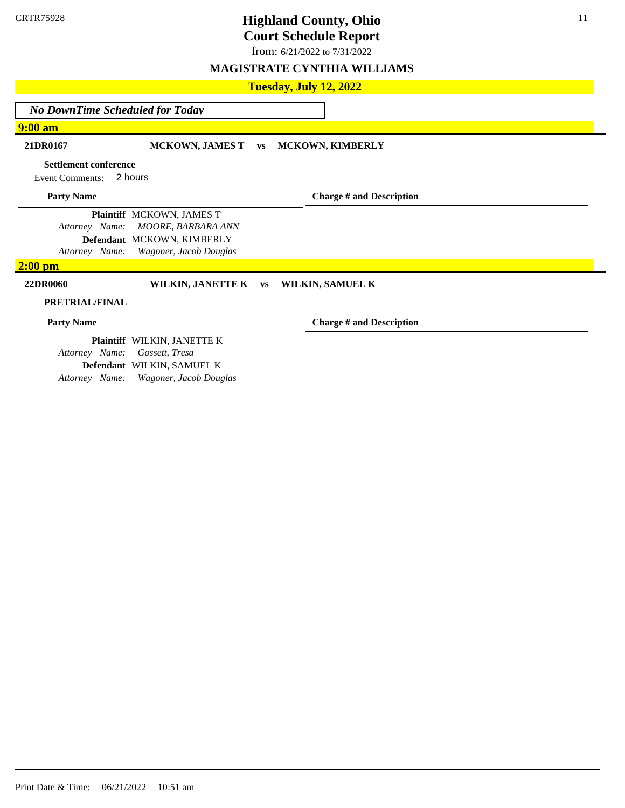from: 6/21/2022 to 7/31/2022

## **MAGISTRATE CYNTHIA WILLIAMS**

### **Tuesday, July 12, 2022**

*No DownTime Scheduled for Today*

### **9:00 am**

### **21DR0167 MCKOWN, JAMES T vs MCKOWN, KIMBERLY**

### **Settlement conference**

Event Comments: 2 hours

### **Party Name**

**Plaintiff** MCKOWN, JAMES T *Attorney Name: MOORE, BARBARA ANN* **Defendant** MCKOWN, KIMBERLY

*Attorney Name: Wagoner, Jacob Douglas*

### **2:00 pm**

### **22DR0060 WILKIN, JANETTE K vs WILKIN, SAMUEL K**

### **PRETRIAL/FINAL**

**Party Name**

**Charge # and Description**

**Charge # and Description**

**Plaintiff** WILKIN, JANETTE K *Attorney Name: Gossett, Tresa*  **Defendant** WILKIN, SAMUEL K *Attorney Name: Wagoner, Jacob Douglas*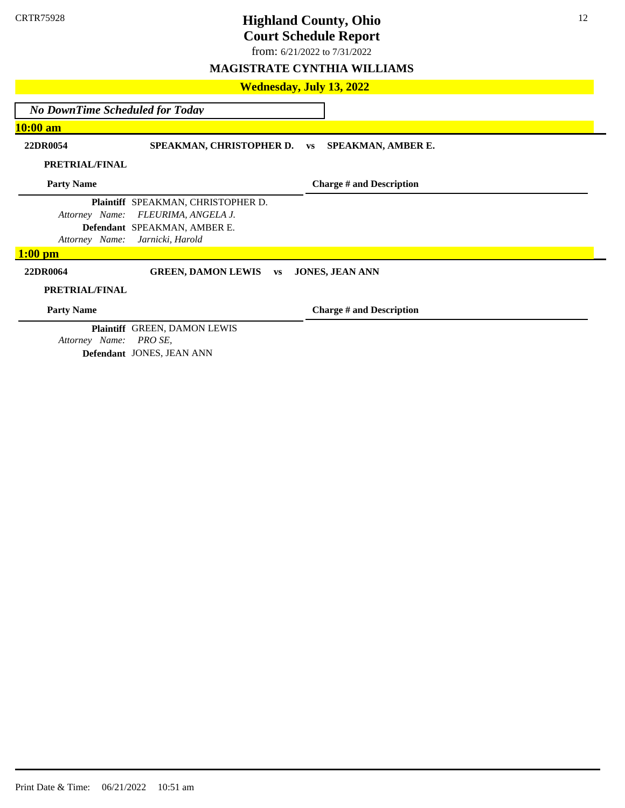from: 6/21/2022 to 7/31/2022

### **MAGISTRATE CYNTHIA WILLIAMS**

### **Wednesday, July 13, 2022**

*No DownTime Scheduled for Today*

**10:00 am**

**22DR0054 SPEAKMAN, CHRISTOPHER D. vs SPEAKMAN, AMBER E.**

**PRETRIAL/FINAL**

**Party Name**

**Charge # and Description**

**Plaintiff** SPEAKMAN, CHRISTOPHER D. *Attorney Name: FLEURIMA, ANGELA J.* **Defendant** SPEAKMAN, AMBER E. *Attorney Name: Jarnicki, Harold* 

### **1:00 pm**

**22DR0064 GREEN, DAMON LEWIS vs JONES, JEAN ANN**

### **PRETRIAL/FINAL**

**Party Name**

**Charge # and Description**

**Plaintiff** GREEN, DAMON LEWIS *Attorney Name: PRO SE,*  **Defendant** JONES, JEAN ANN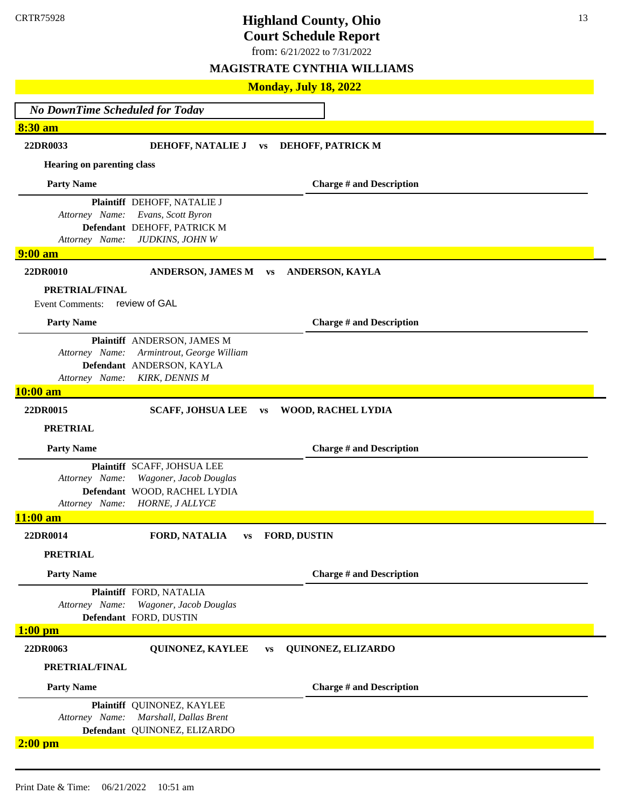from: 6/21/2022 to 7/31/2022

| <b>Monday, July 18, 2022</b>           |                                                         |           |                        |                                 |  |
|----------------------------------------|---------------------------------------------------------|-----------|------------------------|---------------------------------|--|
| <b>No DownTime Scheduled for Today</b> |                                                         |           |                        |                                 |  |
| 8:30 am                                |                                                         |           |                        |                                 |  |
| 22DR0033                               | DEHOFF, NATALIE J                                       | <b>VS</b> |                        | DEHOFF, PATRICK M               |  |
| <b>Hearing on parenting class</b>      |                                                         |           |                        |                                 |  |
| <b>Party Name</b>                      |                                                         |           |                        | <b>Charge # and Description</b> |  |
| Attorney Name:                         | Plaintiff DEHOFF, NATALIE J<br>Evans, Scott Byron       |           |                        |                                 |  |
|                                        | Defendant DEHOFF, PATRICK M                             |           |                        |                                 |  |
| Attorney Name:                         | JUDKINS, JOHN W                                         |           |                        |                                 |  |
| <b>9:00 am</b>                         |                                                         |           |                        |                                 |  |
| 22DR0010                               | <b>ANDERSON, JAMES M</b>                                | <b>VS</b> |                        | ANDERSON, KAYLA                 |  |
| <b>PRETRIAL/FINAL</b>                  |                                                         |           |                        |                                 |  |
| <b>Event Comments:</b>                 | review of GAL                                           |           |                        |                                 |  |
| <b>Party Name</b>                      |                                                         |           |                        | <b>Charge # and Description</b> |  |
|                                        | Plaintiff ANDERSON, JAMES M                             |           |                        |                                 |  |
| Attorney Name:                         | Armintrout, George William<br>Defendant ANDERSON, KAYLA |           |                        |                                 |  |
| Attorney Name:                         | <b>KIRK, DENNIS M</b>                                   |           |                        |                                 |  |
| 10:00 am                               |                                                         |           |                        |                                 |  |
| 22DR0015                               | <b>SCAFF, JOHSUA LEE</b>                                | <b>VS</b> |                        | WOOD, RACHEL LYDIA              |  |
| <b>PRETRIAL</b>                        |                                                         |           |                        |                                 |  |
| <b>Party Name</b>                      |                                                         |           |                        | <b>Charge # and Description</b> |  |
|                                        | Plaintiff SCAFF, JOHSUA LEE                             |           |                        |                                 |  |
| Attorney Name:                         | Wagoner, Jacob Douglas<br>Defendant WOOD, RACHEL LYDIA  |           |                        |                                 |  |
| Attorney Name:                         | HORNE, J ALLYCE                                         |           |                        |                                 |  |
| $11:00$ am                             |                                                         |           |                        |                                 |  |
| 22DR0014                               | FORD, NATALIA                                           |           | <b>vs</b> FORD, DUSTIN |                                 |  |
| <b>PRETRIAL</b>                        |                                                         |           |                        |                                 |  |
| <b>Party Name</b>                      |                                                         |           |                        | <b>Charge # and Description</b> |  |
|                                        | Plaintiff FORD, NATALIA                                 |           |                        |                                 |  |
| Attorney Name:                         | Wagoner, Jacob Douglas                                  |           |                        |                                 |  |
| $1:00$ pm                              | Defendant FORD, DUSTIN                                  |           |                        |                                 |  |
| 22DR0063                               | QUINONEZ, KAYLEE                                        | <b>VS</b> |                        | QUINONEZ, ELIZARDO              |  |
| PRETRIAL/FINAL                         |                                                         |           |                        |                                 |  |
| <b>Party Name</b>                      |                                                         |           |                        | <b>Charge # and Description</b> |  |
|                                        | Plaintiff QUINONEZ, KAYLEE                              |           |                        |                                 |  |
| Attorney Name:                         | Marshall, Dallas Brent                                  |           |                        |                                 |  |
| $2:00$ pm                              | Defendant QUINONEZ, ELIZARDO                            |           |                        |                                 |  |
|                                        |                                                         |           |                        |                                 |  |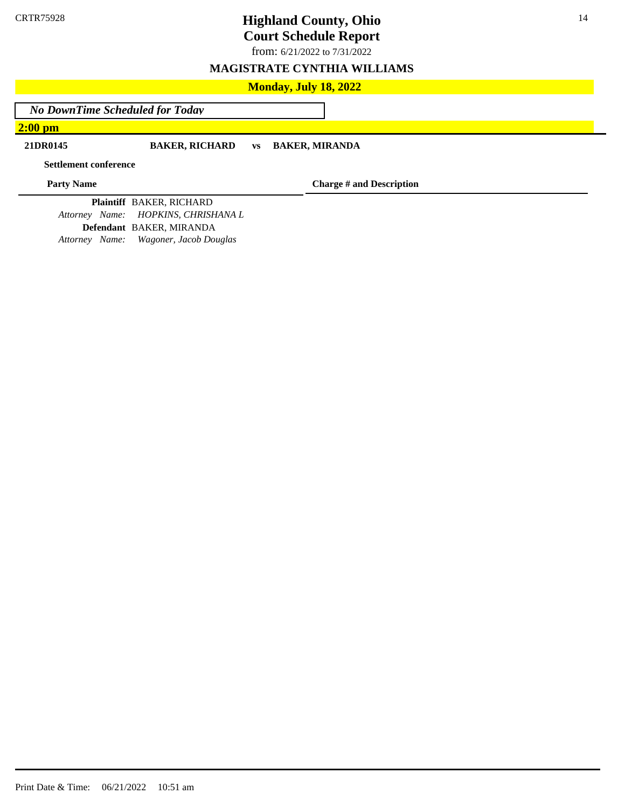from: 6/21/2022 to 7/31/2022

### **MAGISTRATE CYNTHIA WILLIAMS**

### **Monday, July 18, 2022**

*No DownTime Scheduled for Today*

**2:00 pm**

### **21DR0145 BAKER, RICHARD vs BAKER, MIRANDA**

**Settlement conference**

**Party Name**

**Charge # and Description**

**Plaintiff** BAKER, RICHARD *Attorney Name: HOPKINS, CHRISHANA L* **Defendant** BAKER, MIRANDA *Attorney Name: Wagoner, Jacob Douglas*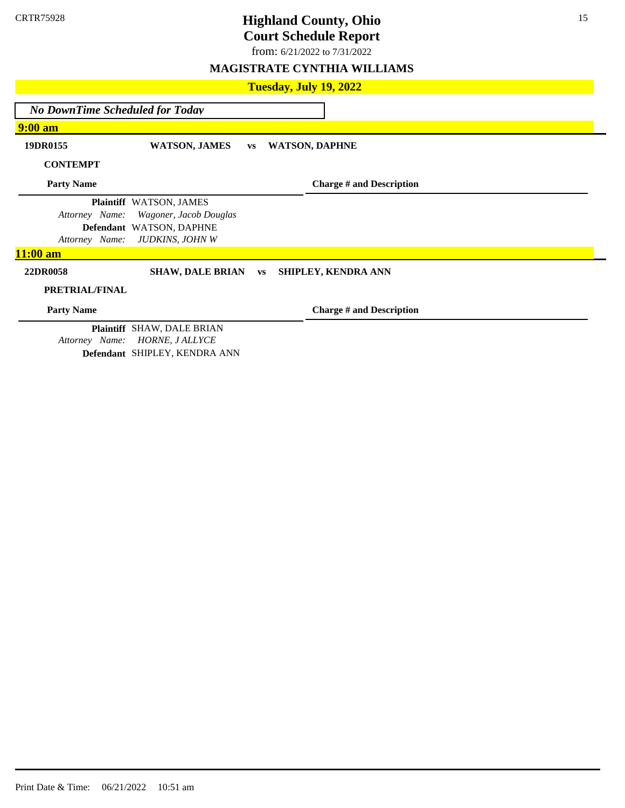from: 6/21/2022 to 7/31/2022

### **MAGISTRATE CYNTHIA WILLIAMS**

| Tuesday, July 19, 2022                 |                                                                                |           |  |                                 |  |
|----------------------------------------|--------------------------------------------------------------------------------|-----------|--|---------------------------------|--|
| <b>No DownTime Scheduled for Today</b> |                                                                                |           |  |                                 |  |
| $9:00$ am                              |                                                                                |           |  |                                 |  |
| 19DR0155                               | <b>WATSON, JAMES</b>                                                           | <b>VS</b> |  | <b>WATSON, DAPHNE</b>           |  |
| <b>CONTEMPT</b>                        |                                                                                |           |  |                                 |  |
| <b>Party Name</b>                      |                                                                                |           |  | <b>Charge # and Description</b> |  |
| Attorney Name:                         | Plaintiff WATSON, JAMES<br>Wagoner, Jacob Douglas                              |           |  |                                 |  |
| Attorney Name:                         | Defendant WATSON, DAPHNE<br>JUDKINS, JOHN W                                    |           |  |                                 |  |
| $11:00$ am                             |                                                                                |           |  |                                 |  |
| 22DR0058                               | <b>SHAW, DALE BRIAN</b>                                                        | <b>VS</b> |  | SHIPLEY, KENDRA ANN             |  |
| PRETRIAL/FINAL                         |                                                                                |           |  |                                 |  |
| <b>Party Name</b>                      |                                                                                |           |  | <b>Charge # and Description</b> |  |
| Attorney Name:                         | Plaintiff SHAW, DALE BRIAN<br>HORNE, J ALLYCE<br>Defendant SHIPLEY, KENDRA ANN |           |  |                                 |  |

Print Date & Time: 06/21/2022 10:51 am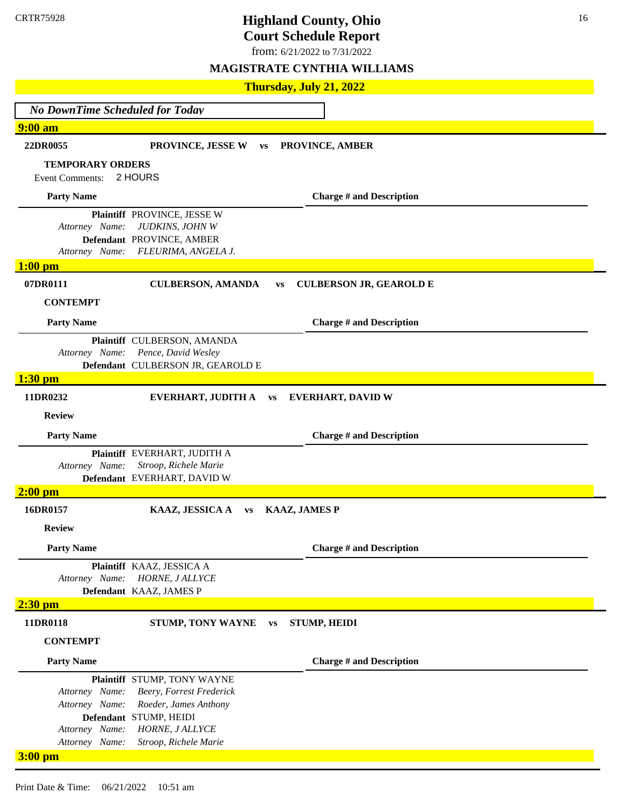from: 6/21/2022 to 7/31/2022

|                                        | Thursday, July 21, 2022                                          |  |  |  |  |  |
|----------------------------------------|------------------------------------------------------------------|--|--|--|--|--|
| <b>No DownTime Scheduled for Today</b> |                                                                  |  |  |  |  |  |
| $9:00$ am                              |                                                                  |  |  |  |  |  |
| 22DR0055                               | PROVINCE, JESSE W<br>PROVINCE, AMBER<br><b>VS</b>                |  |  |  |  |  |
| <b>TEMPORARY ORDERS</b>                |                                                                  |  |  |  |  |  |
| <b>Event Comments:</b>                 | 2 HOURS                                                          |  |  |  |  |  |
| <b>Party Name</b>                      | <b>Charge # and Description</b>                                  |  |  |  |  |  |
| Attorney Name:                         | Plaintiff PROVINCE, JESSE W<br>JUDKINS, JOHN W                   |  |  |  |  |  |
|                                        | Defendant PROVINCE, AMBER                                        |  |  |  |  |  |
| Attorney Name:                         | FLEURIMA, ANGELA J.                                              |  |  |  |  |  |
| $1:00$ pm                              |                                                                  |  |  |  |  |  |
| 07DR0111                               | <b>CULBERSON, AMANDA</b><br><b>CULBERSON JR, GEAROLD E</b><br>VS |  |  |  |  |  |
| <b>CONTEMPT</b>                        |                                                                  |  |  |  |  |  |
| <b>Party Name</b>                      | <b>Charge # and Description</b>                                  |  |  |  |  |  |
|                                        | Plaintiff CULBERSON, AMANDA                                      |  |  |  |  |  |
| Attorney Name:                         | Pence, David Wesley<br>Defendant CULBERSON JR, GEAROLD E         |  |  |  |  |  |
| $1:30$ pm                              |                                                                  |  |  |  |  |  |
| 11DR0232                               | <b>EVERHART, JUDITH A vs</b><br><b>EVERHART, DAVID W</b>         |  |  |  |  |  |
| <b>Review</b>                          |                                                                  |  |  |  |  |  |
| <b>Party Name</b>                      | <b>Charge # and Description</b>                                  |  |  |  |  |  |
|                                        | Plaintiff EVERHART, JUDITH A                                     |  |  |  |  |  |
| Attorney Name:                         | Stroop, Richele Marie<br>Defendant EVERHART, DAVID W             |  |  |  |  |  |
| $2:00$ pm                              |                                                                  |  |  |  |  |  |
| 16DR0157                               | KAAZ, JESSICA A<br><b>KAAZ, JAMES P</b><br><b>VS</b>             |  |  |  |  |  |
| <b>Review</b>                          |                                                                  |  |  |  |  |  |
| <b>Party Name</b>                      | <b>Charge # and Description</b>                                  |  |  |  |  |  |
|                                        | Plaintiff KAAZ, JESSICA A                                        |  |  |  |  |  |
| Attorney Name:                         | HORNE, J ALLYCE<br>Defendant KAAZ, JAMES P                       |  |  |  |  |  |
| $2:30$ pm                              |                                                                  |  |  |  |  |  |
| 11DR0118                               | <b>STUMP, HEIDI</b><br>STUMP, TONY WAYNE<br><b>VS</b>            |  |  |  |  |  |
| <b>CONTEMPT</b>                        |                                                                  |  |  |  |  |  |
| <b>Party Name</b>                      | <b>Charge # and Description</b>                                  |  |  |  |  |  |
|                                        | Plaintiff STUMP, TONY WAYNE                                      |  |  |  |  |  |
| Attorney Name:                         | Beery, Forrest Frederick                                         |  |  |  |  |  |
| Attorney Name:                         | Roeder, James Anthony<br>Defendant STUMP, HEIDI                  |  |  |  |  |  |
| Attorney Name:                         | HORNE, J ALLYCE                                                  |  |  |  |  |  |
| Attorney Name:                         | Stroop, Richele Marie                                            |  |  |  |  |  |
| $3:00$ pm                              |                                                                  |  |  |  |  |  |